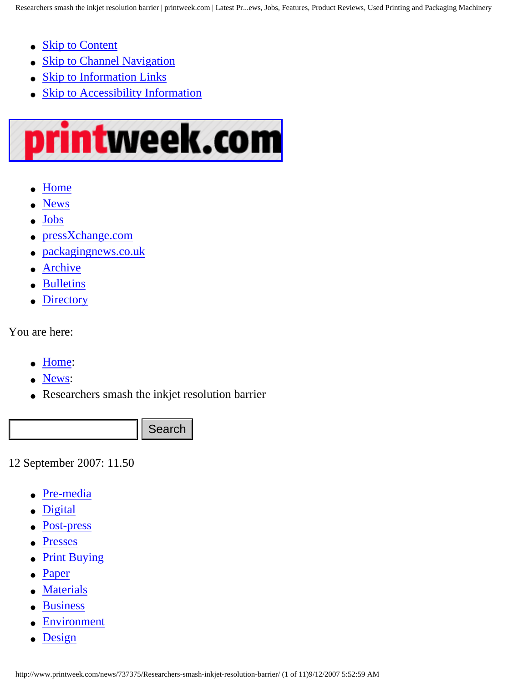- <span id="page-0-1"></span>• [Skip to Content](#page-1-0)
- **[Skip to Channel Navigation](#page-0-0)**
- [Skip to Information Links](#page--1-0)
- [Skip to Accessibility Information](http://www.printweek.com/termsandconditions#access)

## rintweek.com IJ

- **[Home](http://www.printweek.com/)**
- **[News](http://www.printweek.com/news/)**
- **[Jobs](http://jobs.printweek.com/)**
- [pressXchange.com](http://www.pressxchange.com/)
- [packagingnews.co.uk](http://www.packagingnews.co.uk/)
- [Archive](http://www.printweek.com/search/)
- **[Bulletins](http://www.printweek.com/bulletins/)**
- **[Directory](http://www.blueboomerang.com/Printing/?CTYPE=HBPL_WEBLINK&AID=PRN_MINI)**

You are here:

- [Home](http://www.printweek.com/Home/):
- [News:](http://www.printweek.com/news/)
- Researchers smash the inkjet resolution barrier

<span id="page-0-0"></span>12 September 2007: 11.50

- [Pre-media](http://www.printweek.com/premedia/)
- **[Digital](http://www.printweek.com/digital/)**
- [Post-press](http://www.printweek.com/postpress/)
- **[Presses](http://www.printweek.com/presses/)**
- **[Print Buying](http://www.printweek.com/printbuying/)**
- [Paper](http://www.printweek.com/paper/)
- [Materials](http://www.printweek.com/materials/)
- [Business](http://www.printweek.com/business/)
- [Environment](http://www.printweek.com/environment/)
- [Design](http://www.printweek.com/design/)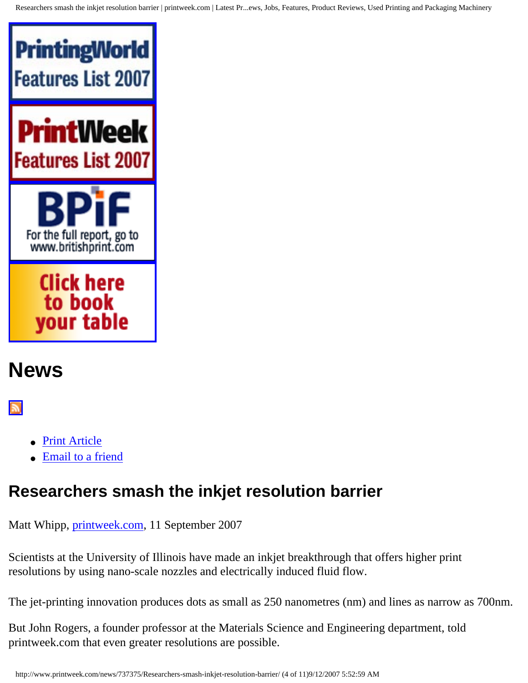Researchers smash the inkjet resolution barrier | printweek.com | Latest Pr...ews, Jobs, Features, Product Reviews, Used Printing and Packaging Machinery



# <span id="page-1-0"></span>**News**

#### $\mathbb{R}$

- [Print Article](#page-0-1)
- [Email to a friend](http://www.printweek.com/News/EmailThisArticle/737375/Researchers-smash-inkjet-resolution-barrier)

## **Researchers smash the inkjet resolution barrier**

Matt Whipp, [printweek.com](http://www.printweek.com/), 11 September 2007

Scientists at the University of Illinois have made an inkjet breakthrough that offers higher print resolutions by using nano-scale nozzles and electrically induced fluid flow.

The jet-printing innovation produces dots as small as 250 nanometres (nm) and lines as narrow as 700nm.

But John Rogers, a founder professor at the Materials Science and Engineering department, told printweek.com that even greater resolutions are possible.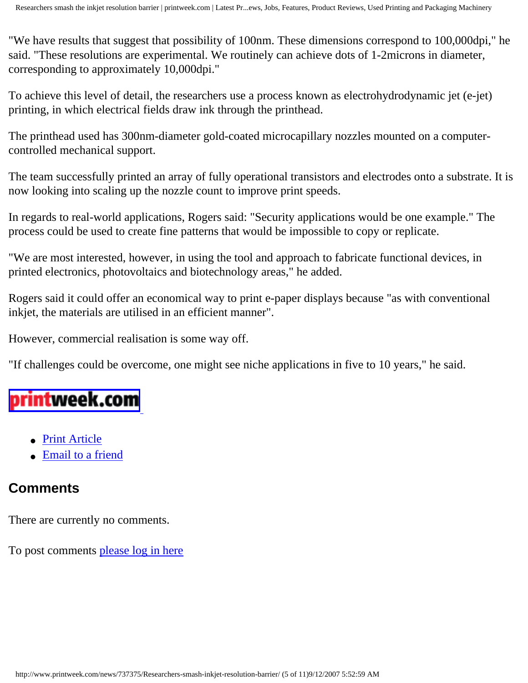"We have results that suggest that possibility of 100nm. These dimensions correspond to 100,000dpi," he said. "These resolutions are experimental. We routinely can achieve dots of 1-2microns in diameter, corresponding to approximately 10,000dpi."

To achieve this level of detail, the researchers use a process known as electrohydrodynamic jet (e-jet) printing, in which electrical fields draw ink through the printhead.

The printhead used has 300nm-diameter gold-coated microcapillary nozzles mounted on a computercontrolled mechanical support.

The team successfully printed an array of fully operational transistors and electrodes onto a substrate. It is now looking into scaling up the nozzle count to improve print speeds.

In regards to real-world applications, Rogers said: "Security applications would be one example." The process could be used to create fine patterns that would be impossible to copy or replicate.

"We are most interested, however, in using the tool and approach to fabricate functional devices, in printed electronics, photovoltaics and biotechnology areas," he added.

Rogers said it could offer an economical way to print e-paper displays because "as with conventional inkjet, the materials are utilised in an efficient manner".

However, commercial realisation is some way off.

"If challenges could be overcome, one might see niche applications in five to 10 years," he said.

# printweek.com

- [Print Article](#page-0-1)
- [Email to a friend](http://www.printweek.com/News/EmailThisArticle/737375/Researchers-smash-inkjet-resolution-barrier)

### **Comments**

There are currently no comments.

To post comments [please log in here](http://www.printweek.com/login/)